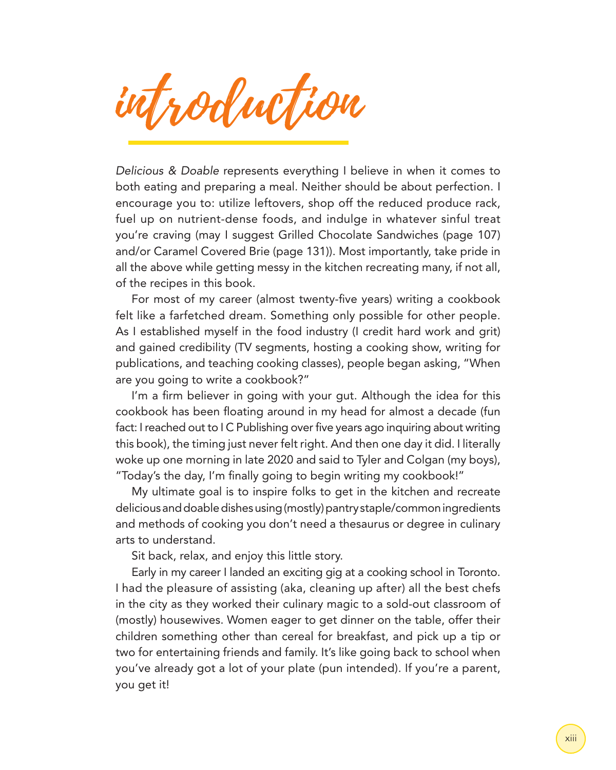introduction

*Delicious & Doable* represents everything I believe in when it comes to both eating and preparing a meal. Neither should be about perfection. I encourage you to: utilize leftovers, shop off the reduced produce rack, fuel up on nutrient-dense foods, and indulge in whatever sinful treat you're craving (may I suggest Grilled Chocolate Sandwiches (page 107) and/or Caramel Covered Brie (page 131)). Most importantly, take pride in all the above while getting messy in the kitchen recreating many, if not all, of the recipes in this book.

For most of my career (almost twenty-five years) writing a cookbook felt like a farfetched dream. Something only possible for other people. As I established myself in the food industry (I credit hard work and grit) and gained credibility (TV segments, hosting a cooking show, writing for publications, and teaching cooking classes), people began asking, "When are you going to write a cookbook?"

I'm a firm believer in going with your gut. Although the idea for this cookbook has been floating around in my head for almost a decade (fun fact: I reached out to I C Publishing over five years ago inquiring about writing this book), the timing just never felt right. And then one day it did. I literally woke up one morning in late 2020 and said to Tyler and Colgan (my boys), "Today's the day, I'm finally going to begin writing my cookbook!"

My ultimate goal is to inspire folks to get in the kitchen and recreate delicious and doable dishes using (mostly) pantry staple/common ingredients and methods of cooking you don't need a thesaurus or degree in culinary arts to understand.

Sit back, relax, and enjoy this little story.

Early in my career I landed an exciting gig at a cooking school in Toronto. I had the pleasure of assisting (aka, cleaning up after) all the best chefs in the city as they worked their culinary magic to a sold-out classroom of (mostly) housewives. Women eager to get dinner on the table, offer their children something other than cereal for breakfast, and pick up a tip or two for entertaining friends and family. It's like going back to school when you've already got a lot of your plate (pun intended). If you're a parent, you get it!